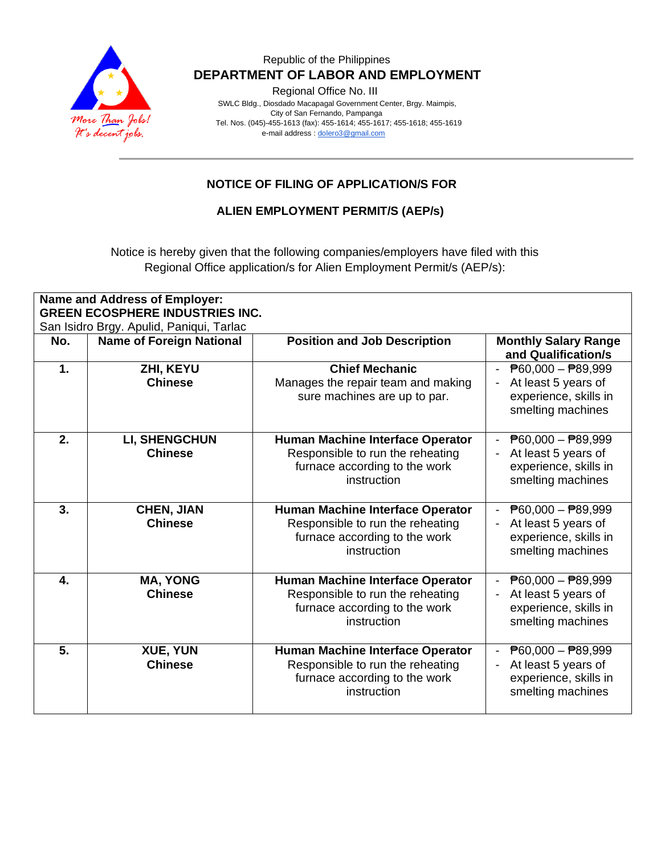

### Republic of the Philippines  **DEPARTMENT OF LABOR AND EMPLOYMENT**

Regional Office No. III

 SWLC Bldg., Diosdado Macapagal Government Center, Brgy. Maimpis, City of San Fernando, Pampanga Tel. Nos. (045)-455-1613 (fax): 455-1614; 455-1617; 455-1618; 455-1619 e-mail address [: dolero3@gmail.com](mailto:dolero3@gmail.com)

## **NOTICE OF FILING OF APPLICATION/S FOR**

#### **ALIEN EMPLOYMENT PERMIT/S (AEP/s)**

Notice is hereby given that the following companies/employers have filed with this Regional Office application/s for Alien Employment Permit/s (AEP/s):

| <b>Name and Address of Employer:</b><br><b>GREEN ECOSPHERE INDUSTRIES INC.</b> |                                        |                                                                                                                      |                                                                                                                                            |  |  |  |
|--------------------------------------------------------------------------------|----------------------------------------|----------------------------------------------------------------------------------------------------------------------|--------------------------------------------------------------------------------------------------------------------------------------------|--|--|--|
| San Isidro Brgy. Apulid, Paniqui, Tarlac                                       |                                        |                                                                                                                      |                                                                                                                                            |  |  |  |
| No.                                                                            | <b>Name of Foreign National</b>        | <b>Position and Job Description</b>                                                                                  | <b>Monthly Salary Range</b><br>and Qualification/s                                                                                         |  |  |  |
| 1.                                                                             | ZHI, KEYU<br><b>Chinese</b>            | <b>Chief Mechanic</b><br>Manages the repair team and making<br>sure machines are up to par.                          | - $\overline{P}60,000 - \overline{P}89,999$<br>At least 5 years of<br>experience, skills in<br>smelting machines                           |  |  |  |
| 2.                                                                             | <b>LI, SHENGCHUN</b><br><b>Chinese</b> | Human Machine Interface Operator<br>Responsible to run the reheating<br>furnace according to the work<br>instruction | $\overline{P}60,000 - \overline{P}89,999$<br>At least 5 years of<br>experience, skills in<br>smelting machines                             |  |  |  |
| 3.                                                                             | <b>CHEN, JIAN</b><br><b>Chinese</b>    | Human Machine Interface Operator<br>Responsible to run the reheating<br>furnace according to the work<br>instruction | $\overline{P}60,000 - \overline{P}89,999$<br>At least 5 years of<br>experience, skills in<br>smelting machines                             |  |  |  |
| 4.                                                                             | <b>MA, YONG</b><br><b>Chinese</b>      | Human Machine Interface Operator<br>Responsible to run the reheating<br>furnace according to the work<br>instruction | $\overline{P}60,000 - \overline{P}89,999$<br>At least 5 years of<br>experience, skills in<br>smelting machines                             |  |  |  |
| 5.                                                                             | <b>XUE, YUN</b><br><b>Chinese</b>      | Human Machine Interface Operator<br>Responsible to run the reheating<br>furnace according to the work<br>instruction | $\overline{P}60,000 - \overline{P}89,999$<br>At least 5 years of<br>$\overline{\phantom{a}}$<br>experience, skills in<br>smelting machines |  |  |  |